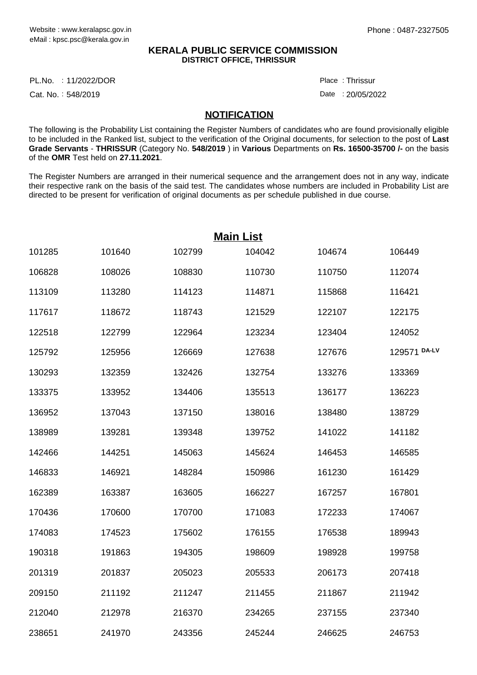## **KERALA PUBLIC SERVICE COMMISSION DISTRICT OFFICE, THRISSUR**

11/2022/DOR Place : PL.No.

Cat. No.: 548/2019

Thrissur :

Date : 20/05/2022

## **NOTIFICATION**

The following is the Probability List containing the Register Numbers of candidates who are found provisionally eligible to be included in the Ranked list, subject to the verification of the Original documents, for selection to the post of **Last Grade Servants** - **THRISSUR** (Category No. **548/2019** ) in **Various** Departments on **Rs. 16500-35700 /-** on the basis of the **OMR** Test held on **27.11.2021**.

The Register Numbers are arranged in their numerical sequence and the arrangement does not in any way, indicate their respective rank on the basis of the said test. The candidates whose numbers are included in Probability List are directed to be present for verification of original documents as per schedule published in due course.

|        | <b>Main List</b> |        |        |        |              |  |  |  |
|--------|------------------|--------|--------|--------|--------------|--|--|--|
| 101285 | 101640           | 102799 | 104042 | 104674 | 106449       |  |  |  |
| 106828 | 108026           | 108830 | 110730 | 110750 | 112074       |  |  |  |
| 113109 | 113280           | 114123 | 114871 | 115868 | 116421       |  |  |  |
| 117617 | 118672           | 118743 | 121529 | 122107 | 122175       |  |  |  |
| 122518 | 122799           | 122964 | 123234 | 123404 | 124052       |  |  |  |
| 125792 | 125956           | 126669 | 127638 | 127676 | 129571 DA-LV |  |  |  |
| 130293 | 132359           | 132426 | 132754 | 133276 | 133369       |  |  |  |
| 133375 | 133952           | 134406 | 135513 | 136177 | 136223       |  |  |  |
| 136952 | 137043           | 137150 | 138016 | 138480 | 138729       |  |  |  |
| 138989 | 139281           | 139348 | 139752 | 141022 | 141182       |  |  |  |
| 142466 | 144251           | 145063 | 145624 | 146453 | 146585       |  |  |  |
| 146833 | 146921           | 148284 | 150986 | 161230 | 161429       |  |  |  |
| 162389 | 163387           | 163605 | 166227 | 167257 | 167801       |  |  |  |
| 170436 | 170600           | 170700 | 171083 | 172233 | 174067       |  |  |  |
| 174083 | 174523           | 175602 | 176155 | 176538 | 189943       |  |  |  |
| 190318 | 191863           | 194305 | 198609 | 198928 | 199758       |  |  |  |
| 201319 | 201837           | 205023 | 205533 | 206173 | 207418       |  |  |  |
| 209150 | 211192           | 211247 | 211455 | 211867 | 211942       |  |  |  |
| 212040 | 212978           | 216370 | 234265 | 237155 | 237340       |  |  |  |
| 238651 | 241970           | 243356 | 245244 | 246625 | 246753       |  |  |  |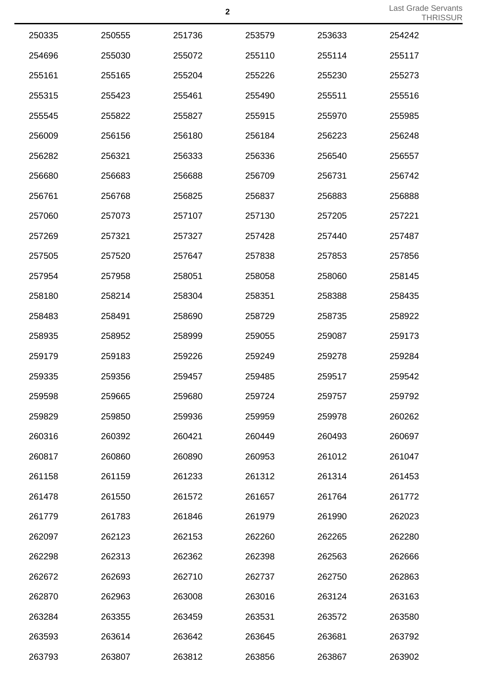| 250335 | 250555 | 251736 | 253579 | 253633 | 254242 |
|--------|--------|--------|--------|--------|--------|
| 254696 | 255030 | 255072 | 255110 | 255114 | 255117 |
| 255161 | 255165 | 255204 | 255226 | 255230 | 255273 |
| 255315 | 255423 | 255461 | 255490 | 255511 | 255516 |
| 255545 | 255822 | 255827 | 255915 | 255970 | 255985 |
| 256009 | 256156 | 256180 | 256184 | 256223 | 256248 |
| 256282 | 256321 | 256333 | 256336 | 256540 | 256557 |
| 256680 | 256683 | 256688 | 256709 | 256731 | 256742 |
| 256761 | 256768 | 256825 | 256837 | 256883 | 256888 |
| 257060 | 257073 | 257107 | 257130 | 257205 | 257221 |
| 257269 | 257321 | 257327 | 257428 | 257440 | 257487 |
| 257505 | 257520 | 257647 | 257838 | 257853 | 257856 |
| 257954 | 257958 | 258051 | 258058 | 258060 | 258145 |
| 258180 | 258214 | 258304 | 258351 | 258388 | 258435 |
| 258483 | 258491 | 258690 | 258729 | 258735 | 258922 |
| 258935 | 258952 | 258999 | 259055 | 259087 | 259173 |
| 259179 | 259183 | 259226 | 259249 | 259278 | 259284 |
| 259335 | 259356 | 259457 | 259485 | 259517 | 259542 |
| 259598 | 259665 | 259680 | 259724 | 259757 | 259792 |
| 259829 | 259850 | 259936 | 259959 | 259978 | 260262 |
| 260316 | 260392 | 260421 | 260449 | 260493 | 260697 |
| 260817 | 260860 | 260890 | 260953 | 261012 | 261047 |
| 261158 | 261159 | 261233 | 261312 | 261314 | 261453 |
| 261478 | 261550 | 261572 | 261657 | 261764 | 261772 |
| 261779 | 261783 | 261846 | 261979 | 261990 | 262023 |
| 262097 | 262123 | 262153 | 262260 | 262265 | 262280 |
| 262298 | 262313 | 262362 | 262398 | 262563 | 262666 |
| 262672 | 262693 | 262710 | 262737 | 262750 | 262863 |
| 262870 | 262963 | 263008 | 263016 | 263124 | 263163 |
| 263284 | 263355 | 263459 | 263531 | 263572 | 263580 |
| 263593 | 263614 | 263642 | 263645 | 263681 | 263792 |
| 263793 | 263807 | 263812 | 263856 | 263867 | 263902 |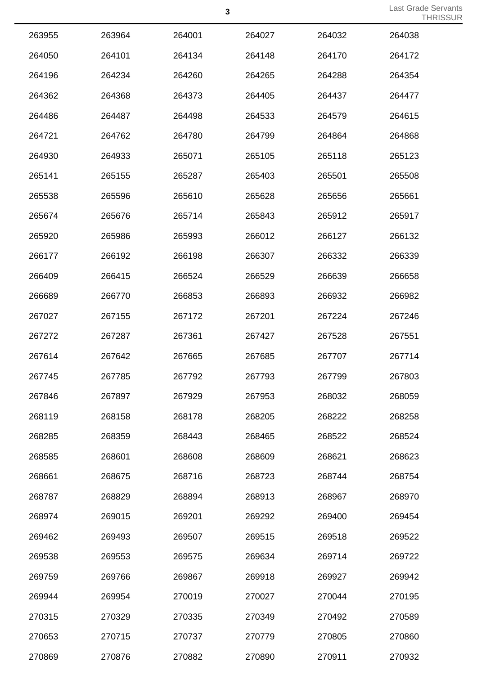| 263955 | 263964 | 264001 | 264027 | 264032 | 264038 |
|--------|--------|--------|--------|--------|--------|
| 264050 | 264101 | 264134 | 264148 | 264170 | 264172 |
| 264196 | 264234 | 264260 | 264265 | 264288 | 264354 |
| 264362 | 264368 | 264373 | 264405 | 264437 | 264477 |
| 264486 | 264487 | 264498 | 264533 | 264579 | 264615 |
| 264721 | 264762 | 264780 | 264799 | 264864 | 264868 |
| 264930 | 264933 | 265071 | 265105 | 265118 | 265123 |
| 265141 | 265155 | 265287 | 265403 | 265501 | 265508 |
| 265538 | 265596 | 265610 | 265628 | 265656 | 265661 |
| 265674 | 265676 | 265714 | 265843 | 265912 | 265917 |
| 265920 | 265986 | 265993 | 266012 | 266127 | 266132 |
| 266177 | 266192 | 266198 | 266307 | 266332 | 266339 |
| 266409 | 266415 | 266524 | 266529 | 266639 | 266658 |
| 266689 | 266770 | 266853 | 266893 | 266932 | 266982 |
| 267027 | 267155 | 267172 | 267201 | 267224 | 267246 |
| 267272 | 267287 | 267361 | 267427 | 267528 | 267551 |
| 267614 | 267642 | 267665 | 267685 | 267707 | 267714 |
| 267745 | 267785 | 267792 | 267793 | 267799 | 267803 |
| 267846 | 267897 | 267929 | 267953 | 268032 | 268059 |
| 268119 | 268158 | 268178 | 268205 | 268222 | 268258 |
| 268285 | 268359 | 268443 | 268465 | 268522 | 268524 |
| 268585 | 268601 | 268608 | 268609 | 268621 | 268623 |
| 268661 | 268675 | 268716 | 268723 | 268744 | 268754 |
| 268787 | 268829 | 268894 | 268913 | 268967 | 268970 |
| 268974 | 269015 | 269201 | 269292 | 269400 | 269454 |
| 269462 | 269493 | 269507 | 269515 | 269518 | 269522 |
| 269538 | 269553 | 269575 | 269634 | 269714 | 269722 |
| 269759 | 269766 | 269867 | 269918 | 269927 | 269942 |
| 269944 | 269954 | 270019 | 270027 | 270044 | 270195 |
| 270315 | 270329 | 270335 | 270349 | 270492 | 270589 |
| 270653 | 270715 | 270737 | 270779 | 270805 | 270860 |
| 270869 | 270876 | 270882 | 270890 | 270911 | 270932 |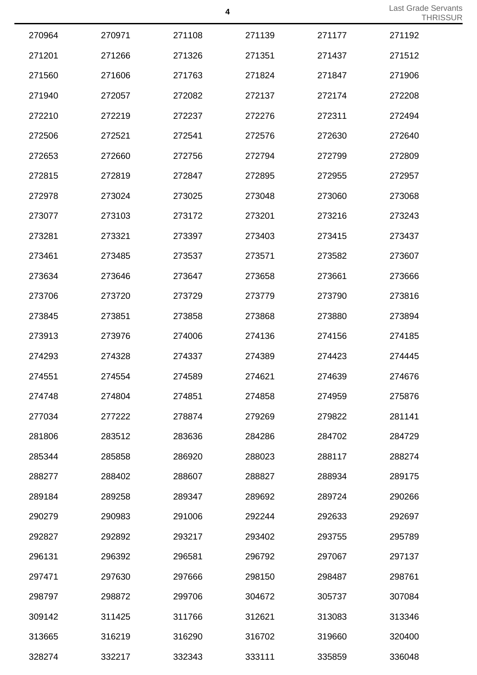|        |        |        |        |        | <b>III</b> |
|--------|--------|--------|--------|--------|------------|
| 270964 | 270971 | 271108 | 271139 | 271177 | 271192     |
| 271201 | 271266 | 271326 | 271351 | 271437 | 271512     |
| 271560 | 271606 | 271763 | 271824 | 271847 | 271906     |
| 271940 | 272057 | 272082 | 272137 | 272174 | 272208     |
| 272210 | 272219 | 272237 | 272276 | 272311 | 272494     |
| 272506 | 272521 | 272541 | 272576 | 272630 | 272640     |
| 272653 | 272660 | 272756 | 272794 | 272799 | 272809     |
| 272815 | 272819 | 272847 | 272895 | 272955 | 272957     |
| 272978 | 273024 | 273025 | 273048 | 273060 | 273068     |
| 273077 | 273103 | 273172 | 273201 | 273216 | 273243     |
| 273281 | 273321 | 273397 | 273403 | 273415 | 273437     |
| 273461 | 273485 | 273537 | 273571 | 273582 | 273607     |
| 273634 | 273646 | 273647 | 273658 | 273661 | 273666     |
| 273706 | 273720 | 273729 | 273779 | 273790 | 273816     |
| 273845 | 273851 | 273858 | 273868 | 273880 | 273894     |
| 273913 | 273976 | 274006 | 274136 | 274156 | 274185     |
| 274293 | 274328 | 274337 | 274389 | 274423 | 274445     |
| 274551 | 274554 | 274589 | 274621 | 274639 | 274676     |
| 274748 | 274804 | 274851 | 274858 | 274959 | 275876     |
| 277034 | 277222 | 278874 | 279269 | 279822 | 281141     |
| 281806 | 283512 | 283636 | 284286 | 284702 | 284729     |
| 285344 | 285858 | 286920 | 288023 | 288117 | 288274     |
| 288277 | 288402 | 288607 | 288827 | 288934 | 289175     |
| 289184 | 289258 | 289347 | 289692 | 289724 | 290266     |
| 290279 | 290983 | 291006 | 292244 | 292633 | 292697     |
| 292827 | 292892 | 293217 | 293402 | 293755 | 295789     |
| 296131 | 296392 | 296581 | 296792 | 297067 | 297137     |
| 297471 | 297630 | 297666 | 298150 | 298487 | 298761     |
| 298797 | 298872 | 299706 | 304672 | 305737 | 307084     |
| 309142 | 311425 | 311766 | 312621 | 313083 | 313346     |
| 313665 | 316219 | 316290 | 316702 | 319660 | 320400     |
| 328274 | 332217 | 332343 | 333111 | 335859 | 336048     |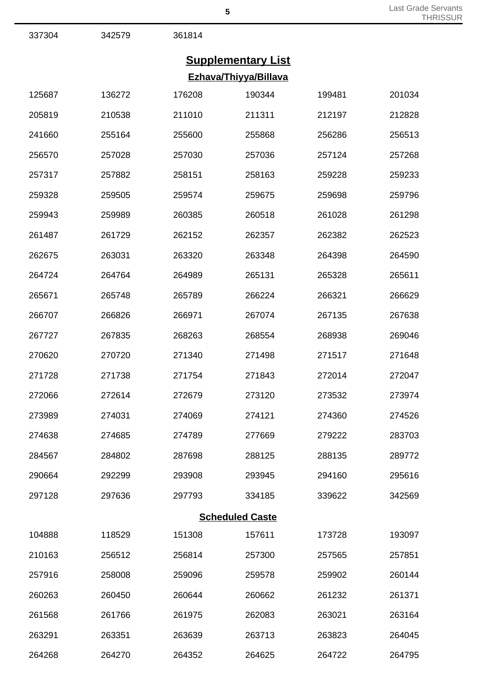342579 361814

## **Supplementary List Ezhava/Thiyya/Billava**

| 125687 | 136272 | 176208 | 190344                 | 199481 | 201034 |
|--------|--------|--------|------------------------|--------|--------|
| 205819 | 210538 | 211010 | 211311                 | 212197 | 212828 |
| 241660 | 255164 | 255600 | 255868                 | 256286 | 256513 |
| 256570 | 257028 | 257030 | 257036                 | 257124 | 257268 |
| 257317 | 257882 | 258151 | 258163                 | 259228 | 259233 |
| 259328 | 259505 | 259574 | 259675                 | 259698 | 259796 |
| 259943 | 259989 | 260385 | 260518                 | 261028 | 261298 |
| 261487 | 261729 | 262152 | 262357                 | 262382 | 262523 |
| 262675 | 263031 | 263320 | 263348                 | 264398 | 264590 |
| 264724 | 264764 | 264989 | 265131                 | 265328 | 265611 |
| 265671 | 265748 | 265789 | 266224                 | 266321 | 266629 |
| 266707 | 266826 | 266971 | 267074                 | 267135 | 267638 |
| 267727 | 267835 | 268263 | 268554                 | 268938 | 269046 |
| 270620 | 270720 | 271340 | 271498                 | 271517 | 271648 |
| 271728 | 271738 | 271754 | 271843                 | 272014 | 272047 |
| 272066 | 272614 | 272679 | 273120                 | 273532 | 273974 |
| 273989 | 274031 | 274069 | 274121                 | 274360 | 274526 |
| 274638 | 274685 | 274789 | 277669                 | 279222 | 283703 |
| 284567 | 284802 | 287698 | 288125                 | 288135 | 289772 |
| 290664 | 292299 | 293908 | 293945                 | 294160 | 295616 |
| 297128 | 297636 | 297793 | 334185                 | 339622 | 342569 |
|        |        |        | <b>Scheduled Caste</b> |        |        |
| 104888 | 118529 | 151308 | 157611                 | 173728 | 193097 |
| 210163 | 256512 | 256814 | 257300                 | 257565 | 257851 |
| 257916 | 258008 | 259096 | 259578                 | 259902 | 260144 |
| 260263 | 260450 | 260644 | 260662                 | 261232 | 261371 |
| 261568 | 261766 | 261975 | 262083                 | 263021 | 263164 |
| 263291 | 263351 | 263639 | 263713                 | 263823 | 264045 |
| 264268 | 264270 | 264352 | 264625                 | 264722 | 264795 |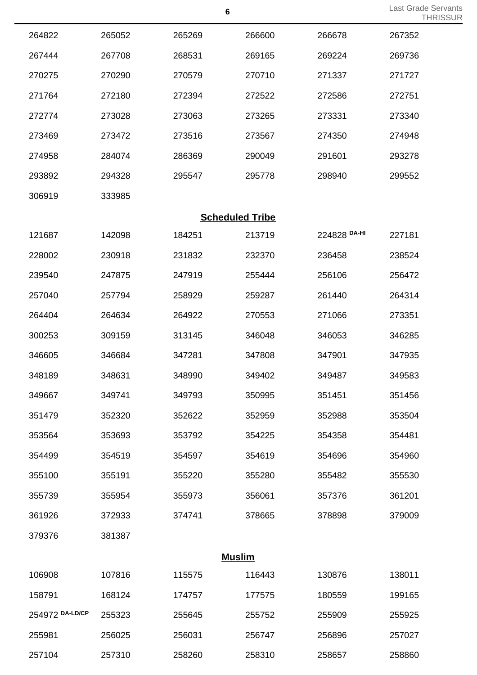| 264822          | 265052 | 265269                 | 266600 | 266678       | 267352 |
|-----------------|--------|------------------------|--------|--------------|--------|
| 267444          | 267708 | 268531                 | 269165 | 269224       | 269736 |
| 270275          | 270290 | 270579                 | 270710 | 271337       | 271727 |
| 271764          | 272180 | 272394                 | 272522 | 272586       | 272751 |
| 272774          | 273028 | 273063                 | 273265 | 273331       | 273340 |
| 273469          | 273472 | 273516                 | 273567 | 274350       | 274948 |
| 274958          | 284074 | 286369                 | 290049 | 291601       | 293278 |
| 293892          | 294328 | 295547                 | 295778 | 298940       | 299552 |
| 306919          | 333985 |                        |        |              |        |
|                 |        | <b>Scheduled Tribe</b> |        |              |        |
| 121687          | 142098 | 184251                 | 213719 | 224828 DA-HI | 227181 |
| 228002          | 230918 | 231832                 | 232370 | 236458       | 238524 |
| 239540          | 247875 | 247919                 | 255444 | 256106       | 256472 |
| 257040          | 257794 | 258929                 | 259287 | 261440       | 264314 |
| 264404          | 264634 | 264922                 | 270553 | 271066       | 273351 |
| 300253          | 309159 | 313145                 | 346048 | 346053       | 346285 |
| 346605          | 346684 | 347281                 | 347808 | 347901       | 347935 |
| 348189          | 348631 | 348990                 | 349402 | 349487       | 349583 |
| 349667          | 349741 | 349793                 | 350995 | 351451       | 351456 |
| 351479          | 352320 | 352622                 | 352959 | 352988       | 353504 |
| 353564          | 353693 | 353792                 | 354225 | 354358       | 354481 |
| 354499          | 354519 | 354597                 | 354619 | 354696       | 354960 |
| 355100          | 355191 | 355220                 | 355280 | 355482       | 355530 |
| 355739          | 355954 | 355973                 | 356061 | 357376       | 361201 |
| 361926          | 372933 | 374741                 | 378665 | 378898       | 379009 |
| 379376          | 381387 |                        |        |              |        |
|                 |        | <b>Muslim</b>          |        |              |        |
| 106908          | 107816 | 115575                 | 116443 | 130876       | 138011 |
| 158791          | 168124 | 174757                 | 177575 | 180559       | 199165 |
| 254972 DA-LD/CP | 255323 | 255645                 | 255752 | 255909       | 255925 |
| 255981          | 256025 | 256031                 | 256747 | 256896       | 257027 |
| 257104          | 257310 | 258260                 | 258310 | 258657       | 258860 |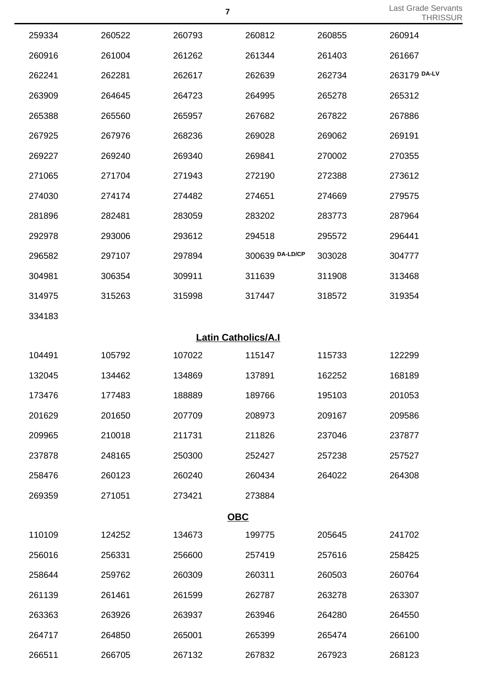| 259334 | 260522 | 260793                     | 260812          | 260855 | 260914       |
|--------|--------|----------------------------|-----------------|--------|--------------|
| 260916 | 261004 | 261262                     | 261344          | 261403 | 261667       |
| 262241 | 262281 | 262617                     | 262639          | 262734 | 263179 DA-LV |
| 263909 | 264645 | 264723                     | 264995          | 265278 | 265312       |
| 265388 | 265560 | 265957                     | 267682          | 267822 | 267886       |
| 267925 | 267976 | 268236                     | 269028          | 269062 | 269191       |
| 269227 | 269240 | 269340                     | 269841          | 270002 | 270355       |
| 271065 | 271704 | 271943                     | 272190          | 272388 | 273612       |
| 274030 | 274174 | 274482                     | 274651          | 274669 | 279575       |
| 281896 | 282481 | 283059                     | 283202          | 283773 | 287964       |
| 292978 | 293006 | 293612                     | 294518          | 295572 | 296441       |
| 296582 | 297107 | 297894                     | 300639 DA-LD/CP | 303028 | 304777       |
| 304981 | 306354 | 309911                     | 311639          | 311908 | 313468       |
| 314975 | 315263 | 315998                     | 317447          | 318572 | 319354       |
| 334183 |        |                            |                 |        |              |
|        |        | <b>Latin Catholics/A.I</b> |                 |        |              |
| 104491 | 105792 | 107022                     | 115147          | 115733 | 122299       |
| 132045 | 134462 | 134869                     | 137891          | 162252 | 168189       |
| 173476 | 177483 | 188889                     | 189766          | 195103 | 201053       |
| 201629 | 201650 | 207709                     | 208973          | 209167 | 209586       |
| 209965 | 210018 | 211731                     | 211826          | 237046 | 237877       |
| 237878 | 248165 | 250300                     | 252427          | 257238 | 257527       |
| 258476 | 260123 | 260240                     | 260434          | 264022 | 264308       |
| 269359 | 271051 | 273421                     | 273884          |        |              |
|        |        | <b>OBC</b>                 |                 |        |              |
| 110109 | 124252 | 134673                     | 199775          | 205645 | 241702       |
| 256016 | 256331 | 256600                     | 257419          | 257616 | 258425       |
| 258644 | 259762 | 260309                     | 260311          | 260503 | 260764       |
| 261139 | 261461 | 261599                     | 262787          | 263278 | 263307       |
| 263363 | 263926 | 263937                     | 263946          | 264280 | 264550       |
| 264717 | 264850 | 265001                     | 265399          | 265474 | 266100       |
| 266511 | 266705 | 267132                     | 267832          | 267923 | 268123       |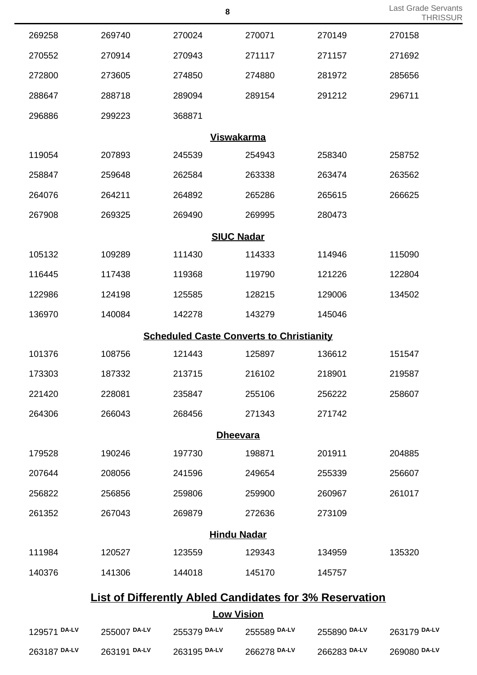|                                                                |                   | 8                                               |                   |              | Last Grade Servants<br><b>THRISSUR</b> |  |  |  |  |
|----------------------------------------------------------------|-------------------|-------------------------------------------------|-------------------|--------------|----------------------------------------|--|--|--|--|
| 269258                                                         | 269740            | 270024                                          | 270071            | 270149       | 270158                                 |  |  |  |  |
| 270552                                                         | 270914            | 270943                                          | 271117            | 271157       | 271692                                 |  |  |  |  |
| 272800                                                         | 273605            | 274850                                          | 274880            | 281972       | 285656                                 |  |  |  |  |
| 288647                                                         | 288718            | 289094                                          | 289154            | 291212       | 296711                                 |  |  |  |  |
| 296886                                                         | 299223            | 368871                                          |                   |              |                                        |  |  |  |  |
|                                                                | <b>Viswakarma</b> |                                                 |                   |              |                                        |  |  |  |  |
| 119054                                                         | 207893            | 245539                                          | 254943            | 258340       | 258752                                 |  |  |  |  |
| 258847                                                         | 259648            | 262584                                          | 263338            | 263474       | 263562                                 |  |  |  |  |
| 264076                                                         | 264211            | 264892                                          | 265286            | 265615       | 266625                                 |  |  |  |  |
| 267908                                                         | 269325            | 269490                                          | 269995            | 280473       |                                        |  |  |  |  |
| <b>SIUC Nadar</b>                                              |                   |                                                 |                   |              |                                        |  |  |  |  |
| 105132                                                         | 109289            | 111430                                          | 114333            | 114946       | 115090                                 |  |  |  |  |
| 116445                                                         | 117438            | 119368                                          | 119790            | 121226       | 122804                                 |  |  |  |  |
| 122986                                                         | 124198            | 125585                                          | 128215            | 129006       | 134502                                 |  |  |  |  |
| 136970                                                         | 140084            | 142278                                          | 143279            | 145046       |                                        |  |  |  |  |
|                                                                |                   | <b>Scheduled Caste Converts to Christianity</b> |                   |              |                                        |  |  |  |  |
| 101376                                                         | 108756            | 121443                                          | 125897            | 136612       | 151547                                 |  |  |  |  |
| 173303                                                         | 187332            | 213715                                          | 216102            | 218901       | 219587                                 |  |  |  |  |
| 221420                                                         | 228081            | 235847                                          | 255106            | 256222       | 258607                                 |  |  |  |  |
| 264306                                                         | 266043            | 268456                                          | 271343            | 271742       |                                        |  |  |  |  |
|                                                                |                   |                                                 | <b>Dheevara</b>   |              |                                        |  |  |  |  |
| 179528                                                         | 190246            | 197730                                          | 198871            | 201911       | 204885                                 |  |  |  |  |
| 207644                                                         | 208056            | 241596                                          | 249654            | 255339       | 256607                                 |  |  |  |  |
| 256822                                                         | 256856            | 259806                                          | 259900            | 260967       | 261017                                 |  |  |  |  |
| 261352                                                         | 267043            | 269879                                          | 272636            | 273109       |                                        |  |  |  |  |
| <b>Hindu Nadar</b>                                             |                   |                                                 |                   |              |                                        |  |  |  |  |
| 111984                                                         | 120527            | 123559                                          | 129343            | 134959       | 135320                                 |  |  |  |  |
| 140376                                                         | 141306            | 144018                                          | 145170            | 145757       |                                        |  |  |  |  |
| <b>List of Differently Abled Candidates for 3% Reservation</b> |                   |                                                 |                   |              |                                        |  |  |  |  |
|                                                                |                   |                                                 | <b>Low Vision</b> |              |                                        |  |  |  |  |
| 129571 DA-LV                                                   | 255007 DA-LV      | 255379 DA-LV                                    | 255589 DA-LV      | 255890 DA-LV | 263179 DA-LV                           |  |  |  |  |
| 263187 DA-LV                                                   | 263191 DA-LV      | 263195 DA-LV                                    | 266278 DA-LV      | 266283 DA-LV | 269080 DA-LV                           |  |  |  |  |

Last Grade Servants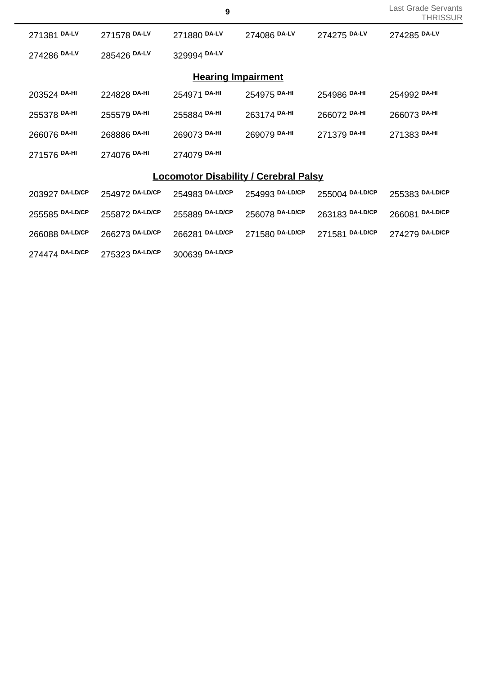|  | Last Grade Servants |
|--|---------------------|
|  | THRISSUR            |

| 271381 DA-LV    | 271578 DA-LV    | 271880 DA-LV              | 274086 DA-LV                                 | 274275 DA-LV    | 274285 DA-LV    |
|-----------------|-----------------|---------------------------|----------------------------------------------|-----------------|-----------------|
| 274286 DA-LV    | 285426 DA-LV    | 329994 DA-LV              |                                              |                 |                 |
|                 |                 | <b>Hearing Impairment</b> |                                              |                 |                 |
| 203524 DA-HI    | 224828 DA-HI    | 254971 DA-HI              | 254975 DA-HI                                 | 254986 DA-HI    | 254992 DA-HI    |
| 255378 DA-HI    | 255579 DA-HI    | 255884 DA-HI              | 263174 DA-HI                                 | 266072 DA-HI    | 266073 DA-HI    |
| 266076 DA-HI    | 268886 DA-HI    | 269073 DA-HI              | 269079 DA-HI                                 | 271379 DA-HI    | 271383 DA-HI    |
| 271576 DA-HI    | 274076 DA-HI    | 274079 DA-HI              |                                              |                 |                 |
|                 |                 |                           | <b>Locomotor Disability / Cerebral Palsy</b> |                 |                 |
| 203927 DA-LD/CP | 254972 DA-LD/CP | 254983 DA-LD/CP           | 254993 DA-LD/CP                              | 255004 DA-LD/CP | 255383 DA-LD/CP |
| 255585 DA-LD/CP | 255872 DA-LD/CP | 255889 DA-LD/CP           | 256078 DA-LD/CP                              | 263183 DA-LD/CP | 266081 DA-LD/CP |
| 266088 DA-LD/CP | 266273 DA-LD/CP | 266281 DA-LD/CP           | 271580 DA-LD/CP                              | 271581 DA-LD/CP | 274279 DA-LD/CP |
| 274474 DA-LD/CP | 275323 DA-LD/CP | 300639 DA-LD/CP           |                                              |                 |                 |